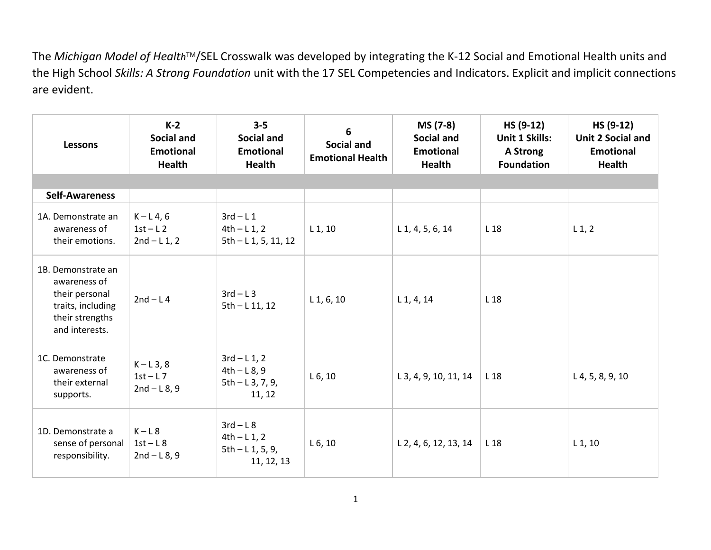The *Michigan Model of Health*™/SEL Crosswalk was developed by integrating the K-12 Social and Emotional Health units and the High School *Skills: A Strong Foundation* unit with the 17 SEL Competencies and Indicators. Explicit and implicit connections are evident.

| <b>Lessons</b>                                                                                                 | $K-2$<br>Social and<br><b>Emotional</b><br><b>Health</b> | $3 - 5$<br>Social and<br><b>Emotional</b><br>Health            | 6<br><b>Social and</b><br><b>Emotional Health</b> | MS (7-8)<br><b>Social and</b><br><b>Emotional</b><br><b>Health</b> | HS (9-12)<br>Unit 1 Skills:<br>A Strong<br><b>Foundation</b> | HS (9-12)<br><b>Unit 2 Social and</b><br><b>Emotional</b><br><b>Health</b> |
|----------------------------------------------------------------------------------------------------------------|----------------------------------------------------------|----------------------------------------------------------------|---------------------------------------------------|--------------------------------------------------------------------|--------------------------------------------------------------|----------------------------------------------------------------------------|
|                                                                                                                |                                                          |                                                                |                                                   |                                                                    |                                                              |                                                                            |
| <b>Self-Awareness</b>                                                                                          |                                                          |                                                                |                                                   |                                                                    |                                                              |                                                                            |
| 1A. Demonstrate an<br>awareness of<br>their emotions.                                                          | $K - L4, 6$<br>$1st-L2$<br>$2nd - L1, 2$                 | $3rd-L1$<br>$4th - L1, 2$<br>$5th - L1, 5, 11, 12$             | $L_1$ , 10                                        | $L$ 1, 4, 5, 6, 14                                                 | L <sub>18</sub>                                              | $L_1$ , 2                                                                  |
| 1B. Demonstrate an<br>awareness of<br>their personal<br>traits, including<br>their strengths<br>and interests. | $2nd - L4$                                               | $3rd-L3$<br>$5th - L$ 11, 12                                   | $L_1, 6, 10$                                      | $L_1$ , 4, 14                                                      | L 18                                                         |                                                                            |
| 1C. Demonstrate<br>awareness of<br>their external<br>supports.                                                 | $K-L3, 8$<br>$1st-L7$<br>$2nd - L8, 9$                   | $3rd - L1, 2$<br>$4th - L8, 9$<br>$5th - L3, 7, 9,$<br>11, 12  | L 6, 10                                           | L 3, 4, 9, 10, 11, 14                                              | L 18                                                         | $L$ 4, 5, 8, 9, 10                                                         |
| 1D. Demonstrate a<br>sense of personal<br>responsibility.                                                      | $K-L8$<br>$1st-L8$<br>$2nd - L8, 9$                      | $3rd - L8$<br>$4th - L1, 2$<br>$5th - L1, 5, 9,$<br>11, 12, 13 | L 6, 10                                           | L 2, 4, 6, 12, 13, 14                                              | L <sub>18</sub>                                              | $L_1$ , 10                                                                 |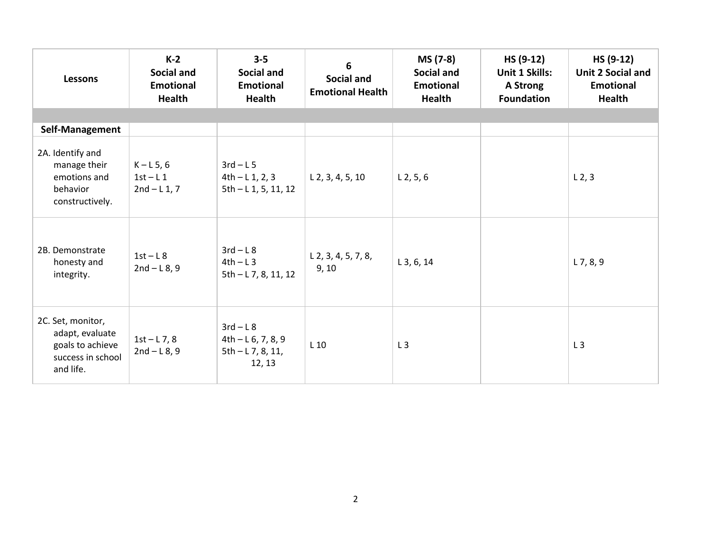| <b>Lessons</b>                                                                             | $K-2$<br>Social and<br><b>Emotional</b><br><b>Health</b> | $3 - 5$<br><b>Social and</b><br><b>Emotional</b><br>Health       | 6<br>Social and<br><b>Emotional Health</b> | MS (7-8)<br><b>Social and</b><br><b>Emotional</b><br><b>Health</b> | HS (9-12)<br><b>Unit 1 Skills:</b><br>A Strong<br><b>Foundation</b> | HS (9-12)<br><b>Unit 2 Social and</b><br><b>Emotional</b><br>Health |
|--------------------------------------------------------------------------------------------|----------------------------------------------------------|------------------------------------------------------------------|--------------------------------------------|--------------------------------------------------------------------|---------------------------------------------------------------------|---------------------------------------------------------------------|
|                                                                                            |                                                          |                                                                  |                                            |                                                                    |                                                                     |                                                                     |
| Self-Management                                                                            |                                                          |                                                                  |                                            |                                                                    |                                                                     |                                                                     |
| 2A. Identify and<br>manage their<br>emotions and<br>behavior<br>constructively.            | $K-L5,6$<br>$1st-L1$<br>$2nd - L1, 7$                    | $3rd - L5$<br>$4th - L1, 2, 3$<br>$5th - L1, 5, 11, 12$          | $L$ 2, 3, 4, 5, 10                         | $L$ 2, 5, 6                                                        |                                                                     | L <sub>2</sub> , 3                                                  |
| 2B. Demonstrate<br>honesty and<br>integrity.                                               | $1st-L8$<br>$2nd - L8, 9$                                | $3rd - L8$<br>$4th-L3$<br>$5th - L7, 8, 11, 12$                  | $L$ 2, 3, 4, 5, 7, 8,<br>9, 10             | $L$ 3, 6, 14                                                       |                                                                     | $L$ 7, 8, 9                                                         |
| 2C. Set, monitor,<br>adapt, evaluate<br>goals to achieve<br>success in school<br>and life. | $1st - L7, 8$<br>$2nd - L8, 9$                           | $3rd-L8$<br>$4th - L6, 7, 8, 9$<br>$5th - L$ 7, 8, 11,<br>12, 13 | $L_{10}$                                   | L3                                                                 |                                                                     | L3                                                                  |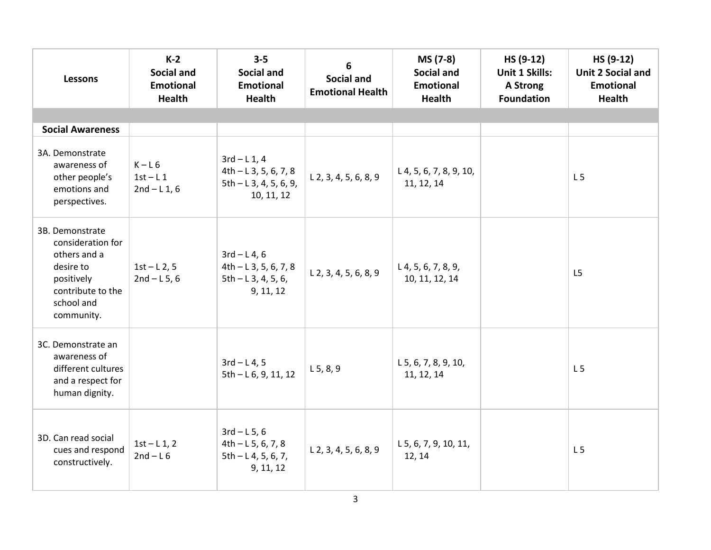| <b>Lessons</b>                                                                                                                   | $K-2$<br><b>Social and</b><br><b>Emotional</b><br><b>Health</b> | $3 - 5$<br><b>Social and</b><br><b>Emotional</b><br><b>Health</b>                | 6<br><b>Social and</b><br><b>Emotional Health</b> | MS (7-8)<br><b>Social and</b><br><b>Emotional</b><br><b>Health</b> | HS (9-12)<br><b>Unit 1 Skills:</b><br>A Strong<br><b>Foundation</b> | HS (9-12)<br><b>Unit 2 Social and</b><br><b>Emotional</b><br>Health |
|----------------------------------------------------------------------------------------------------------------------------------|-----------------------------------------------------------------|----------------------------------------------------------------------------------|---------------------------------------------------|--------------------------------------------------------------------|---------------------------------------------------------------------|---------------------------------------------------------------------|
|                                                                                                                                  |                                                                 |                                                                                  |                                                   |                                                                    |                                                                     |                                                                     |
| <b>Social Awareness</b>                                                                                                          |                                                                 |                                                                                  |                                                   |                                                                    |                                                                     |                                                                     |
| 3A. Demonstrate<br>awareness of<br>other people's<br>emotions and<br>perspectives.                                               | $K-L6$<br>$1st-L1$<br>$2nd - L1, 6$                             | $3rd - L1, 4$<br>$4th - L3, 5, 6, 7, 8$<br>$5th - L3, 4, 5, 6, 9,$<br>10, 11, 12 | $L$ 2, 3, 4, 5, 6, 8, 9                           | $L$ 4, 5, 6, 7, 8, 9, 10,<br>11, 12, 14                            |                                                                     | L <sub>5</sub>                                                      |
| 3B. Demonstrate<br>consideration for<br>others and a<br>desire to<br>positively<br>contribute to the<br>school and<br>community. | $1st - L2, 5$<br>$2nd - L5, 6$                                  | $3rd - L4, 6$<br>$4th - L$ 3, 5, 6, 7, 8<br>$5th - L3, 4, 5, 6,$<br>9, 11, 12    | $L$ 2, 3, 4, 5, 6, 8, 9                           | L 4, 5, 6, 7, 8, 9,<br>10, 11, 12, 14                              |                                                                     | L <sub>5</sub>                                                      |
| 3C. Demonstrate an<br>awareness of<br>different cultures<br>and a respect for<br>human dignity.                                  |                                                                 | $3rd - L4, 5$<br>$5th - L6, 9, 11, 12$                                           | L 5, 8, 9                                         | $L$ 5, 6, 7, 8, 9, 10,<br>11, 12, 14                               |                                                                     | L <sub>5</sub>                                                      |
| 3D. Can read social<br>cues and respond<br>constructively.                                                                       | $1st - L1, 2$<br>$2nd - L6$                                     | $3rd - L5, 6$<br>$4th - L5, 6, 7, 8$<br>$5th - L4, 5, 6, 7,$<br>9, 11, 12        | $L$ 2, 3, 4, 5, 6, 8, 9                           | L 5, 6, 7, 9, 10, 11,<br>12, 14                                    |                                                                     | L <sub>5</sub>                                                      |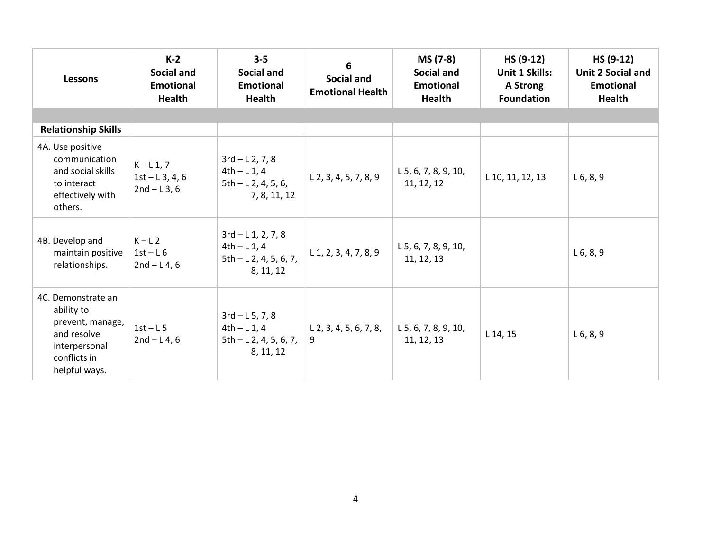| <b>Lessons</b>                                                                                                        | $K-2$<br><b>Social and</b><br><b>Emotional</b><br><b>Health</b> | $3 - 5$<br>Social and<br><b>Emotional</b><br><b>Health</b>                   | 6<br>Social and<br><b>Emotional Health</b> | MS (7-8)<br><b>Social and</b><br><b>Emotional</b><br><b>Health</b> | HS (9-12)<br>Unit 1 Skills:<br>A Strong<br><b>Foundation</b> | HS (9-12)<br><b>Unit 2 Social and</b><br><b>Emotional</b><br><b>Health</b> |
|-----------------------------------------------------------------------------------------------------------------------|-----------------------------------------------------------------|------------------------------------------------------------------------------|--------------------------------------------|--------------------------------------------------------------------|--------------------------------------------------------------|----------------------------------------------------------------------------|
|                                                                                                                       |                                                                 |                                                                              |                                            |                                                                    |                                                              |                                                                            |
| <b>Relationship Skills</b>                                                                                            |                                                                 |                                                                              |                                            |                                                                    |                                                              |                                                                            |
| 4A. Use positive<br>communication<br>and social skills<br>to interact<br>effectively with<br>others.                  | $K - L 1, 7$<br>$1st - L3, 4, 6$<br>$2nd - L3, 6$               | $3rd - L2, 7, 8$<br>$4th - L1, 4$<br>$5th - L2, 4, 5, 6,$<br>7, 8, 11, 12    | $L$ 2, 3, 4, 5, 7, 8, 9                    | $L$ 5, 6, 7, 8, 9, 10,<br>11, 12, 12                               | L 10, 11, 12, 13                                             | $L_6, 8, 9$                                                                |
| 4B. Develop and<br>maintain positive<br>relationships.                                                                | $K-L2$<br>$1st-L6$<br>$2nd - L4, 6$                             | $3rd - L1, 2, 7, 8$<br>$4th - L1, 4$<br>$5th - L2, 4, 5, 6, 7,$<br>8, 11, 12 | $L$ 1, 2, 3, 4, 7, 8, 9                    | $L$ 5, 6, 7, 8, 9, 10,<br>11, 12, 13                               |                                                              | $L_6, 8, 9$                                                                |
| 4C. Demonstrate an<br>ability to<br>prevent, manage,<br>and resolve<br>interpersonal<br>conflicts in<br>helpful ways. | $1st-L5$<br>$2nd - L4, 6$                                       | $3rd - L 5, 7, 8$<br>$4th - L1, 4$<br>$5th - L2, 4, 5, 6, 7,$<br>8, 11, 12   | $L$ 2, 3, 4, 5, 6, 7, 8,<br>9              | L 5, 6, 7, 8, 9, 10,<br>11, 12, 13                                 | L 14, 15                                                     | $L_6, 8, 9$                                                                |